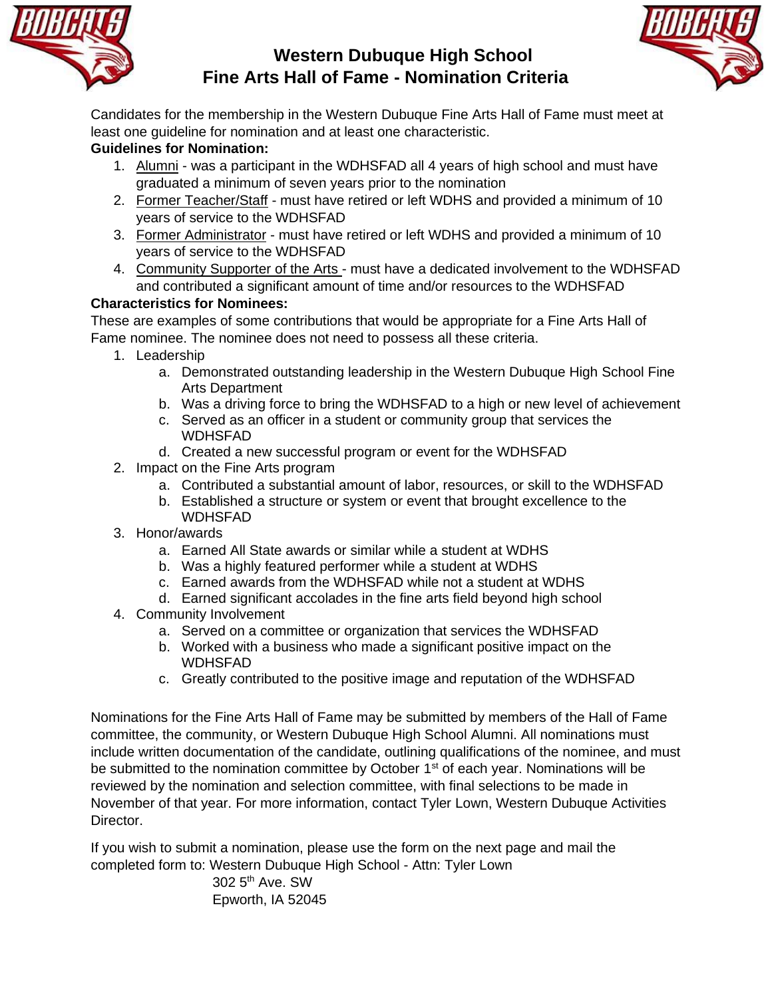

## **Western Dubuque High School Fine Arts Hall of Fame - Nomination Criteria**



Candidates for the membership in the Western Dubuque Fine Arts Hall of Fame must meet at least one guideline for nomination and at least one characteristic.

## **Guidelines for Nomination:**

- 1. Alumni was a participant in the WDHSFAD all 4 years of high school and must have graduated a minimum of seven years prior to the nomination
- 2. Former Teacher/Staff must have retired or left WDHS and provided a minimum of 10 years of service to the WDHSFAD
- 3. Former Administrator must have retired or left WDHS and provided a minimum of 10 years of service to the WDHSFAD
- 4. Community Supporter of the Arts must have a dedicated involvement to the WDHSFAD and contributed a significant amount of time and/or resources to the WDHSFAD

## **Characteristics for Nominees:**

These are examples of some contributions that would be appropriate for a Fine Arts Hall of Fame nominee. The nominee does not need to possess all these criteria.

- 1. Leadership
	- a. Demonstrated outstanding leadership in the Western Dubuque High School Fine Arts Department
	- b. Was a driving force to bring the WDHSFAD to a high or new level of achievement
	- c. Served as an officer in a student or community group that services the WDHSFAD
	- d. Created a new successful program or event for the WDHSFAD
- 2. Impact on the Fine Arts program
	- a. Contributed a substantial amount of labor, resources, or skill to the WDHSFAD
	- b. Established a structure or system or event that brought excellence to the WDHSFAD
- 3. Honor/awards
	- a. Earned All State awards or similar while a student at WDHS
	- b. Was a highly featured performer while a student at WDHS
	- c. Earned awards from the WDHSFAD while not a student at WDHS
	- d. Earned significant accolades in the fine arts field beyond high school
- 4. Community Involvement
	- a. Served on a committee or organization that services the WDHSFAD
	- b. Worked with a business who made a significant positive impact on the WDHSFAD
	- c. Greatly contributed to the positive image and reputation of the WDHSFAD

Nominations for the Fine Arts Hall of Fame may be submitted by members of the Hall of Fame committee, the community, or Western Dubuque High School Alumni. All nominations must include written documentation of the candidate, outlining qualifications of the nominee, and must be submitted to the nomination committee by October 1<sup>st</sup> of each year. Nominations will be reviewed by the nomination and selection committee, with final selections to be made in November of that year. For more information, contact Tyler Lown, Western Dubuque Activities Director.

If you wish to submit a nomination, please use the form on the next page and mail the completed form to: Western Dubuque High School - Attn: Tyler Lown

> 302 5th Ave. SW Epworth, IA 52045